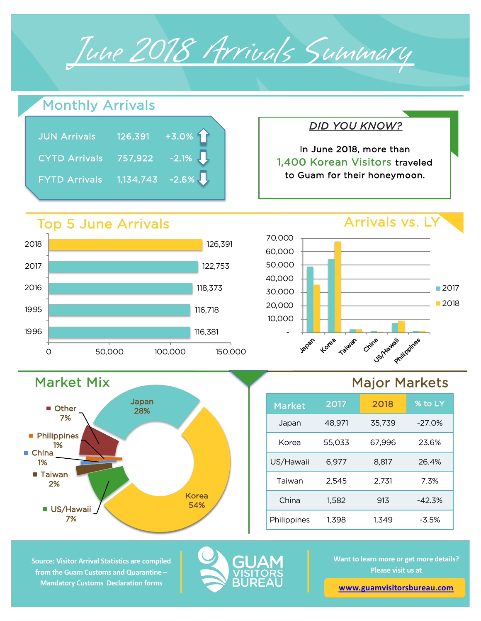June 2018 Arrivals Summary

## Monthly Arrivals

| <b>JUN Arrivals</b>         | 126,391 +3.0%     |
|-----------------------------|-------------------|
| CYTD Arrivals 757,922 -2.1% |                   |
| <b>FYTD Arrivals</b>        | $1,134,743$ -2.6% |

## Top 5 June Arrivals

Market Mix

7%

■ Taiwan 2%

**Philippines** 1%

Other 7%

China 1%



Japan 28%



*DID YOU KNOW?*

In June 2018, more than 1,400 Korean Visitors traveled to Guam for their honeymoon.

## Major Markets

| <b>Market</b> | 2017   | 2018   | % to $LY$ |
|---------------|--------|--------|-----------|
| Japan         | 48,971 | 35,739 | $-27.0%$  |
| Korea         | 55,033 | 67,996 | 23.6%     |
| US/Hawaii     | 6,977  | 8,817  | 26.4%     |
| Taiwan        | 2,545  | 2,731  | 7.3%      |
| China         | 1,582  | 913    | $-42.3%$  |
| Philippines   | 1.398  | 1.349  | $-3.5%$   |

**Source: Visitor Arrival Statistics are compiled from the Guam Customs and Quarantine – Mandatory Customs Declaration forms** 

 $\blacksquare$  US/Hawaii  $\sqrt{ }$   $\blacksquare$  54%



Korea

**Want to learn more or get more details? Please visit us at** 

**[www.guamvisitorsbureau.co](https://www.guamvisitorsbureau.com/research-and-reports/research)m**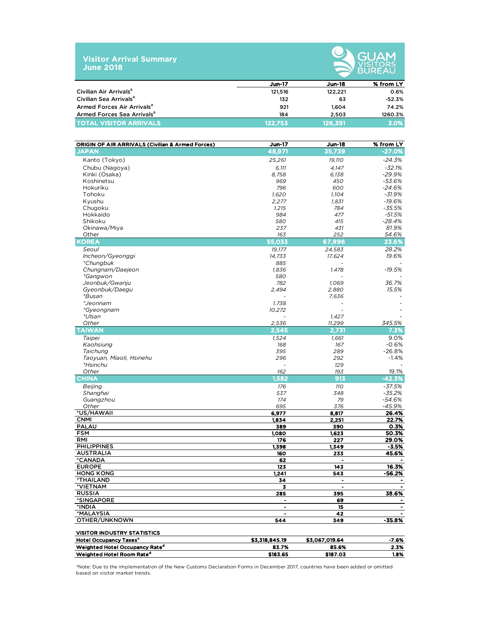|            | <b>Visitor Arrival Summary</b> |
|------------|--------------------------------|
| June 2018' |                                |



|                                        |         | <b>Jun-17</b><br><b>Jun-18</b><br>122,221<br>121,516<br>132<br>63<br>921<br>1.604<br>184<br>2.503<br>126.391 | ____________ |
|----------------------------------------|---------|--------------------------------------------------------------------------------------------------------------|--------------|
|                                        |         |                                                                                                              | % from LY    |
| Civilian Air Arrivals <sup>a</sup>     |         |                                                                                                              | 0.6%         |
| Civilian Sea Arrivals <sup>a</sup>     |         |                                                                                                              | $-52.3%$     |
| Armed Forces Air Arrivals <sup>a</sup> |         |                                                                                                              | 74.2%        |
| Armed Forces Sea Arrivals <sup>a</sup> |         |                                                                                                              | 1260.3%      |
| <b>TOTAL VISITOR ARRIVALS</b>          | 122,753 |                                                                                                              | 3.0%         |

| ORIGIN OF AIR ARRIVALS (Civilian & Armed Forces) | $Jun-17$       | <b>Jun-18</b>  | % from LY      |
|--------------------------------------------------|----------------|----------------|----------------|
| <b>JAPAN</b>                                     | 48,971         | 35,739         | $-27.0\%$      |
| Kanto (Tokyo)                                    | 25,261         | 19,110         | $-24.3%$       |
| Chubu (Nagoya)                                   | 6.111          | 4,147          | $-32.1%$       |
| Kinki (Osaka)                                    | 8,758          | 6,138          | $-29.9%$       |
| Koshinetsu                                       | 969            | 450            | $-53.6%$       |
| Hokuriku                                         | 796            | 600            | $-24.6%$       |
| Tohoku                                           | 1,620          | 1,104          | $-31.9%$       |
| Kyushu                                           | 2,277          | 1,831          | $-19.6%$       |
| Chugoku                                          | 1,215          | 784            | $-35.5%$       |
| Hokkaido                                         | 984            | 477            | $-51.5%$       |
| Shikoku                                          | 580            | 415            | $-28.4%$       |
| Okinawa/Miya                                     | 237            | 431            | 81.9%          |
| Other                                            | 163            | 252            | 54.6%          |
| <b>KOREA</b>                                     | 55,033         | 67,996         | 23.6%          |
| Seoul                                            | 19.177         | 24,583         | 28.2%          |
| Incheon/Gyeonggi                                 | 14,733         | 17,624         | 19.6%          |
| *Chungbuk                                        | 885<br>1,836   | 1,478          | $-19.5%$       |
| Chungnam/Daejeon                                 | 580            |                |                |
| *Gangwon<br>Jeonbuk/Gwanju                       | 782            | 1,069          | 36.7%          |
| Gyeonbuk/Daegu                                   | 2,494          | 2,880          | 15.5%          |
| <i>*Busan</i>                                    |                | 7,636          |                |
| *Jeonnam                                         | 1,738          |                |                |
| <i>*Gyeongnam</i>                                | 10,272         |                |                |
| *Ulsan                                           |                | 1,427          |                |
| Other                                            | 2,536          | 11,299         | 345.5%         |
| <b>TAIWAN</b>                                    | 2,545          | 2,731          | 7.3%           |
| Taipei                                           | 1,524          | 1,661          | 9.0%           |
| Kaohsiung                                        | 168            | 167            | $-0.6%$        |
| Taichung                                         | 395            | 289            | $-26.8%$       |
| Taoyuan, Miaoli, Hsinehu                         | 296            | 292            | $-1.4%$        |
| *Hsinchu                                         |                | 129            |                |
| Other                                            | 162            | 193            | 19.1%          |
| <b>CHINA</b>                                     | 1,582          | 913            | $-42.3%$       |
| Beijing                                          | 176            | <b>110</b>     | $-37.5%$       |
| Shanghai                                         | 537            | 348            | $-35.2%$       |
| Guangzhou                                        | 174            | 79             | $-54.6%$       |
| Other                                            | 695            | 376            | $-45.9%$       |
| *US/HAWAII                                       | 6,977          | 8,817          | 26.4%          |
| <b>CNMI</b>                                      | 1,834          | 2,251          | 22.7%          |
| <b>PALAU</b>                                     | 389            | 390            | 0.3%           |
| <b>FSM</b><br><b>RMI</b>                         | 1,080          | 1,623          | 50.3%<br>29.0% |
| <b>PHILIPPINES</b>                               | 176<br>1,398   | 227<br>1,349   | $-3.5%$        |
| <b>AUSTRALIA</b>                                 | 160            | 233            | 45.6%          |
| *CANADA                                          | 62             |                |                |
| <b>EUROPE</b>                                    | 123            | 143            | 16.3%          |
| <b>HONG KONG</b>                                 | 1,241          | 543            | -56.2%         |
| <b>*THAILAND</b>                                 | 34             |                |                |
| *VIETNAM                                         | 3              | $\blacksquare$ | $\blacksquare$ |
| <b>RUSSIA</b>                                    | 285            | 395            | <u>38.6%</u>   |
| *SINGAPORE                                       | ٠              | 69             | ٠              |
| *INDIA                                           |                | 15             |                |
| *MALAYSIA                                        |                | 42             | $\blacksquare$ |
| OTHER/UNKNOWN                                    | 544            | 349            | -35.8%         |
| <b>VISITOR INDUSTRY STATISTICS</b>               |                |                |                |
| Hotel Occupancy Taxes <sup>c</sup>               | \$3,318,845.19 | \$3,067,019.64 | -7.6%          |
| Weighted Hotel Occupancy Rate <sup>d</sup>       | 83.7%          | 85.6%          | 2.3%           |
| Weighted Hotel Room Rate <sup>d</sup>            | \$183.65       | \$187.03       | 1.8%           |

\*Note: Due to the implementation of the New Customs Declaration Forms in December 2017, countries have been added or omitted based on visitor market trends.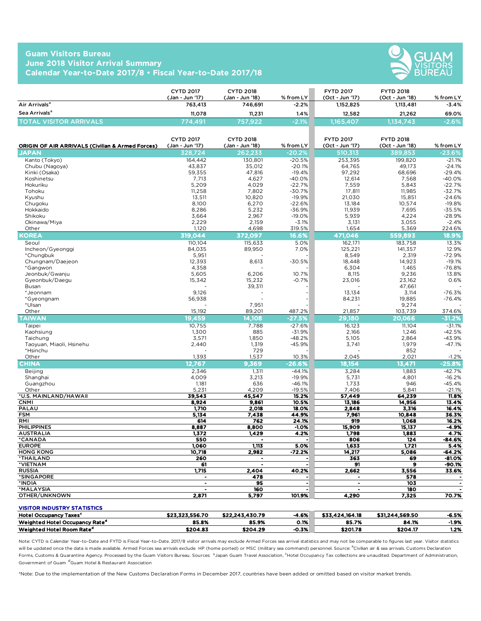## **Guam Visitors Bureau June 2018 Visitor Arrival Summary Calendar Year-to-Date 2017/8 • Fiscal Year-to-Date 2017/18**



|                           | <b>CYTD 2017</b><br>(Jan - Jun '17) | <b>CYTD 2018</b><br>(Jan - Jun '18) | $%$ from LY | <b>FYTD 2017</b><br>(Oct - Jun '17) | <b>FYTD 2018</b><br>(Oct - Jun '18) | % from LY |
|---------------------------|-------------------------------------|-------------------------------------|-------------|-------------------------------------|-------------------------------------|-----------|
| Air Arrivals <sup>a</sup> | 763.413                             | 746.691                             | $-2.2%$     | 1.152.825                           | 1,113,481                           | $-3.4%$   |
| Sea Arrivals <sup>a</sup> | 11.078                              | 11.231                              | 1.4%        | 12.582                              | 21.262                              | 69.0%     |
| TOTAL VISITOR ARRIVALS.   | 774.491                             | 757.922                             | $-2.1%$     | ,165,407                            | 1.134.743                           | $-2.6%$   |

| <b>ORIGIN OF AIR ARRIVALS (Civilian &amp; Armed Forces)</b><br>(Jan - Jun '17)<br>(Jan - Jun '18)<br>% from LY<br>(Oct - Jun '17)<br>(Oct - Jun '18) | % from LY<br>$-23.6%$ |
|------------------------------------------------------------------------------------------------------------------------------------------------------|-----------------------|
| <b>JAPAN</b><br>328.724<br>$-20.2%$<br>510.313<br>389.853<br>262.233                                                                                 |                       |
| 253,395<br>199,820<br>Kanto (Tokyo)<br>164,442<br>130,801<br>$-20.5%$                                                                                | $-21.1%$              |
| 43.837<br>35.012<br>$-20.1%$<br>64.765<br>49.173<br>Chubu (Nagoya)                                                                                   | $-24.1%$              |
| 59.355<br>47.816<br>97.292<br>68.696<br>$-19.4%$<br>Kinki (Osaka)                                                                                    | $-29.4%$              |
| 7.713<br>4.627<br>12.614<br>7,568<br>Koshinetsu<br>$-40.0%$                                                                                          | $-40.0%$              |
| 5.209<br>4,029<br>7.559<br>5.843<br>Hokuriku<br>$-22.7%$                                                                                             | $-22.7%$              |
| 11,258<br>7,802<br>$-30.7%$<br>17,811<br>11.985<br>Tohoku                                                                                            | $-32.7%$              |
| 10.820<br>$-19.9%$<br>Kvushu<br>13.511<br>21.030<br>15.851                                                                                           | $-24.6%$              |
| 8.100<br>6,270<br>10,574<br>Chugoku<br>$-22.6%$<br>13,184                                                                                            | $-19.8%$              |
| 7.695<br>Hokkaido<br>8.286<br>5.232<br>$-36.9%$<br>11.939                                                                                            | $-35.5%$              |
| 2,967<br>5,939<br>Shikoku<br>3.664<br>$-19.0%$<br>4,224                                                                                              | $-28.9%$              |
| Okinawa/Miya<br>2.229<br>2.159<br>$-3.1%$<br>3.131<br>3,055                                                                                          | $-2.4%$               |
| 1.120<br>4.698<br>319.5%<br>1.654<br>5,369<br>Other                                                                                                  | 224.6%                |
| <b><i>COREA</i></b><br>319,044<br>16.6%<br>471,046<br>559,893<br>372.097                                                                             | 18.9%                 |
| 162,171<br>183,758<br>Seoul<br>110,104<br>115,633<br>5.0%                                                                                            | 13.3%                 |
| Incheon/Gyeonggi<br>84,035<br>89,950<br>7.0%<br>125,221<br>141,357                                                                                   | 12.9%                 |
| 5,951<br>8,549<br>2,319<br>*Chungbuk                                                                                                                 | $-72.9%$              |
| 12,393<br>8,613<br>$-30.5%$<br>18,448<br>14,923<br>Chungnam/Daejeon                                                                                  | $-19.1%$              |
| 4,358<br>6,304<br>1,465<br>*Gangwon                                                                                                                  | $-76.8%$              |
| 5,605<br>6,206<br>10.7%<br>8,115<br>9,236<br>Jeonbuk/Gwanju                                                                                          | 13.8%                 |
| 15,342<br>15,232<br>$-0.7%$<br>23,162<br>Gyeonbuk/Daegu<br>23,016                                                                                    | 0.6%                  |
| 39,311<br>47,661<br>Busan                                                                                                                            |                       |
| 9,126<br>13,134<br>3,114<br>*Jeonnam                                                                                                                 | $-76.3%$              |
| 56,938<br>84,231<br>*Gyeongnam<br>19,885                                                                                                             | $-76.4%$              |
| 7,951<br>9,274<br>*Ulsan<br>89,201<br>21,857<br>Other<br>487.2%<br>103,739                                                                           |                       |
| 15,192<br><b>TAIWAN</b><br>19.459<br>14.108<br>$-27.5%$<br>29,180<br>20.066                                                                          | 374.6%<br>$-31.2%$    |
| 7,788<br>Taipei<br>10,755<br>$-27.6%$<br>16,123<br>11,104                                                                                            | $-31.1%$              |
| Kaohsiung<br>1,300<br>885<br>$-31.9%$<br>2,166<br>1,246                                                                                              | $-42.5%$              |
| 3,571<br>1,850<br>5.105<br>$-48.2%$<br>2.864<br>Taichung                                                                                             | $-43.9%$              |
| 1,319<br>3.741<br>1,979<br>2.440<br>$-45.9%$<br>Taoyuan, Miaoli, Hsinehu                                                                             | $-47.1%$              |
| 729<br>*Hsinchu<br>852                                                                                                                               |                       |
| 1.537<br>Other<br>1,393<br>10.3%<br>2.045<br>2,021                                                                                                   | $-1.2%$               |
| 12.767<br>9,369<br>$-26.6%$<br>18.154<br>13.471<br>CHINA                                                                                             | $-25.8%$              |
| 2,346<br>1,311<br>$-44.1%$<br>3,284<br>1,883<br>Beijing                                                                                              | $-42.7%$              |
| 4,009<br>3,213<br>$-19.9%$<br>5,731<br>4,801<br>Shanghai                                                                                             | $-16.2%$              |
| 1,181<br>636<br>$-46.1%$<br>946<br>Guangzhou<br>1,733                                                                                                | $-45.4%$              |
| 5,231<br>4,209<br>$-19.5%$<br>7,406<br>5,841<br>Other                                                                                                | $-21.1%$              |
| *U.S. MAINLAND/HAWAII<br>39,543<br>45,547<br>15.2%<br>57,449<br>64,239                                                                               | 11.8%                 |
| <b>CNMI</b><br>8,924<br>9,861<br>10.5%<br>13,186<br>14,956                                                                                           | 13.4%                 |
| PALAU<br>1,710<br>2,018<br>18.0%<br>2,848<br>3,316                                                                                                   | 16.4%                 |
| <b>FSM</b><br>5,134<br>7,438<br>44.9%<br>7,961<br>10,848                                                                                             | 36.3%                 |
| RMI<br>614<br>762<br>24.1%<br>919<br>1,068                                                                                                           | 16.2%                 |
| <b>PHILIPPINES</b><br>8,887<br>8,800<br>$-1.0%$<br>15,909<br>15,137                                                                                  | -4.9%                 |
| <b>AUSTRALIA</b><br>1,372<br>1,429<br>4.2%<br>1,798<br>1,883                                                                                         | 4.7%                  |
| *CANADA<br>550<br>806<br>124<br><b>EUROPE</b><br>5.0%                                                                                                | $-84.6%$<br>5.4%      |
| 1,113<br>1,633<br>1,721<br>1,060<br>2,982<br>$-72.2%$<br>5,086<br><b>HONG KONG</b><br>10,718<br>14,217                                               | $-64.2%$              |
| *THAILAND<br>260<br>363<br>69                                                                                                                        | $-81.0%$              |
| *VIETNAM<br>61<br>91<br>$\mathbf{9}$<br>$\bullet$<br>$\overline{\phantom{a}}$                                                                        | -90.1%                |
| <b>RUSSIA</b><br>1,715<br>2,404<br>40.2%<br>2,662<br>3,556                                                                                           | 33.6%                 |
| *SINGAPORE<br>478<br>578<br>$\tilde{\phantom{a}}$<br>$\bullet$                                                                                       |                       |
| *INDIA<br>95<br>103<br>$\ddot{\phantom{a}}$<br>$\ddot{\phantom{a}}$                                                                                  | $\bullet$             |
| 160<br>180<br>*MALAYSIA<br>$\blacksquare$<br>$\ddot{\phantom{0}}$<br>$\blacksquare$                                                                  | $\blacksquare$        |
| 2,871<br>5,797<br>101.9%<br>4,290<br>7,325<br>OTHER/UNKNOWN                                                                                          | 70.7%                 |

| <b>VISITOR INDUSTRY STATISTICS</b>         |                 |                 |         |                 |                 |         |
|--------------------------------------------|-----------------|-----------------|---------|-----------------|-----------------|---------|
| <b>Hotel Occupancy Taxes<sup>c</sup></b>   | \$23.323.556.70 | \$22.243.430.79 | $-4.6%$ | \$33.424.164.18 | \$31,244,569.50 | $-6.5%$ |
| Weighted Hotel Occupancy Rate <sup>d</sup> | 85.8%           | 85.9%           | 0.1%    | 85.7%           | 84.1%           | -1.9%   |
| Weighted Hotel Room Rate <sup>d</sup>      | \$204.83        | \$204.29        | $-0.3%$ | \$201.78        | \$204.17        | 1.2%    |

Note: CYTD is Calendar Year-to-Date and FYTD is Fiscal Year-to-Date. 2017/8 visitor arrivals may exclude Armed Forces sea arrival statistics and may not be comparable to figures last year. Visitor statistics will be updated once the data is made available. Armed Forces sea arrivals exclude HP (home ported) or MSC (military sea command) personnel. Source: <sup>a</sup>Civilian air & sea arrivals. Customs Declaration Forms, Customs & Quarantine Agency. Processed by the Guam Visitors Bureau. Sources: 『Japan Guam Travel Association, <sup>C</sup>Hotel Occupancy Tax collections are unaudited. Department of Administration, Government of Guam dGuam Hotel & Restaurant Association

\*Note: Due to the implementation of the New Customs Declaration Forms in December 2017, countries have been added or omitted based on visitor market trends.